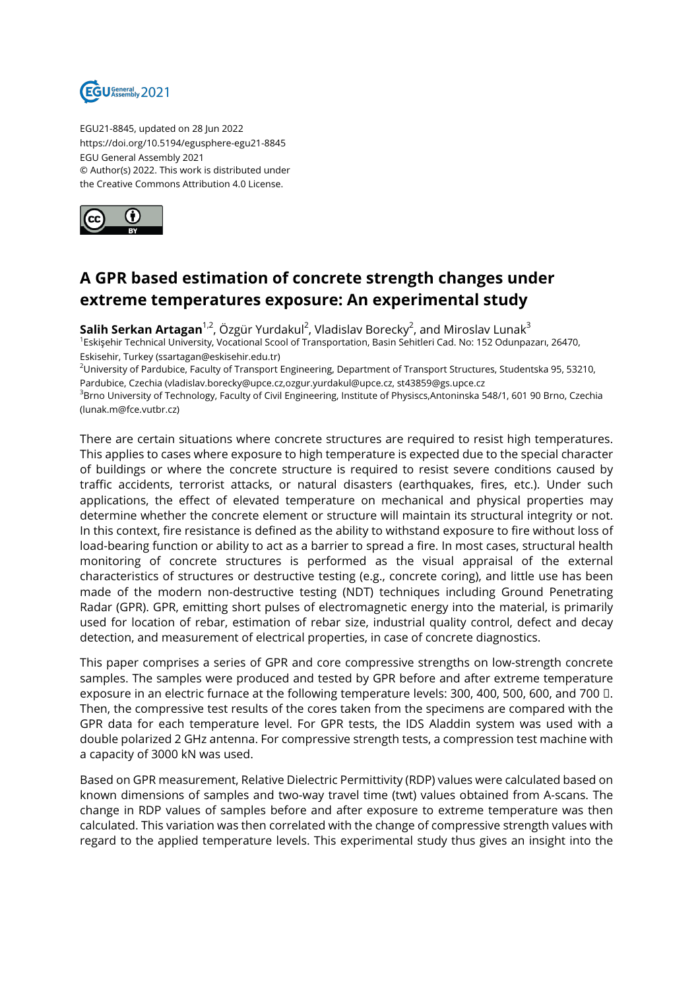

EGU21-8845, updated on 28 Jun 2022 https://doi.org/10.5194/egusphere-egu21-8845 EGU General Assembly 2021 © Author(s) 2022. This work is distributed under the Creative Commons Attribution 4.0 License.



## **A GPR based estimation of concrete strength changes under extreme temperatures exposure: An experimental study**

**Salih Serkan Artagan**<sup>1,2</sup>, Özgür Yurdakul<sup>2</sup>, Vladislav Borecky<sup>2</sup>, and Miroslav Lunak<sup>3</sup> <sup>1</sup>Eskişehir Technical University, Vocational Scool of Transportation, Basin Sehitleri Cad. No: 152 Odunpazarı, 26470, Eskisehir, Turkey (ssartagan@eskisehir.edu.tr)

<sup>2</sup>University of Pardubice, Faculty of Transport Engineering, Department of Transport Structures, Studentska 95, 53210, Pardubice, Czechia (vladislav.borecky@upce.cz,ozgur.yurdakul@upce.cz, st43859@gs.upce.cz

<sup>3</sup>Brno University of Technology, Faculty of Civil Engineering, Institute of Physiscs,Antoninska 548/1, 601 90 Brno, Czechia (lunak.m@fce.vutbr.cz)

There are certain situations where concrete structures are required to resist high temperatures. This applies to cases where exposure to high temperature is expected due to the special character of buildings or where the concrete structure is required to resist severe conditions caused by traffic accidents, terrorist attacks, or natural disasters (earthquakes, fires, etc.). Under such applications, the effect of elevated temperature on mechanical and physical properties may determine whether the concrete element or structure will maintain its structural integrity or not. In this context, fire resistance is defined as the ability to withstand exposure to fire without loss of load-bearing function or ability to act as a barrier to spread a fire. In most cases, structural health monitoring of concrete structures is performed as the visual appraisal of the external characteristics of structures or destructive testing (e.g., concrete coring), and little use has been made of the modern non-destructive testing (NDT) techniques including Ground Penetrating Radar (GPR). GPR, emitting short pulses of electromagnetic energy into the material, is primarily used for location of rebar, estimation of rebar size, industrial quality control, defect and decay detection, and measurement of electrical properties, in case of concrete diagnostics.

This paper comprises a series of GPR and core compressive strengths on low-strength concrete samples. The samples were produced and tested by GPR before and after extreme temperature exposure in an electric furnace at the following temperature levels: 300, 400, 500, 600, and 700 □. Then, the compressive test results of the cores taken from the specimens are compared with the GPR data for each temperature level. For GPR tests, the IDS Aladdin system was used with a double polarized 2 GHz antenna. For compressive strength tests, a compression test machine with a capacity of 3000 kN was used.

Based on GPR measurement, Relative Dielectric Permittivity (RDP) values were calculated based on known dimensions of samples and two-way travel time (twt) values obtained from A-scans. The change in RDP values of samples before and after exposure to extreme temperature was then calculated. This variation was then correlated with the change of compressive strength values with regard to the applied temperature levels. This experimental study thus gives an insight into the